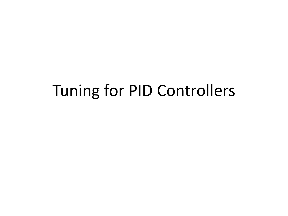### Tuning for PID Controllers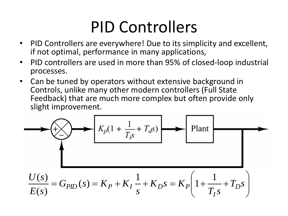### PID Controllers

- PID Controllers are everywhere! Due to its simplicity and excellent, if not optimal, performance in many applications,
- PID controllers are used in more than 95% of closed-loop industrial processes.
- Can be tuned by operators without extensive background in Controls, unlike many other modern controllers (Full State Feedback) that are much more complex but often provide only slight improvement.

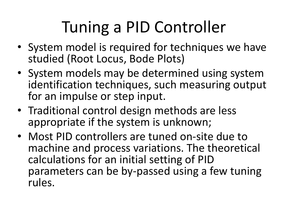# Tuning a PID Controller

- System model is required for techniques we have studied (Root Locus, Bode Plots)
- System models may be determined using system identification techniques, such measuring output for an impulse or step input.
- Traditional control design methods are less appropriate if the system is unknown;
- Most PID controllers are tuned on-site due to machine and process variations. The theoretical calculations for an initial setting of PID parameters can be by-passed using a few tuning rules.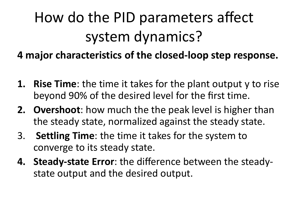## How do the PID parameters affect system dynamics?

**4 major characteristics of the closed-loop step response.** 

- **1. Rise Time**: the time it takes for the plant output y to rise beyond 90% of the desired level for the first time.
- **2. Overshoot**: how much the the peak level is higher than the steady state, normalized against the steady state.
- 3. **Settling Time**: the time it takes for the system to converge to its steady state.
- **4. Steady-state Error**: the difference between the steadystate output and the desired output.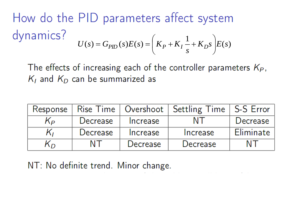How do the PID parameters affect system dynamics?  $U(s) = G_{PID}(s)E(s) = \left(K_P + K_I \frac{1}{s} + K_D s\right)E(s)$ 

The effects of increasing each of the controller parameters  $K_P$ ,  $K_I$  and  $K_D$  can be summarized as

| Response |          |          | Rise Time   Overshoot   Settling Time   S-S Error |           |
|----------|----------|----------|---------------------------------------------------|-----------|
| Kр       | Decrease | Increase |                                                   | Decrease  |
| ĸ,       | Decrease | Increase | Increase                                          | Eliminate |
| nл       | NT       | Decrease | Decrease                                          | N L       |

NT: No definite trend. Minor change.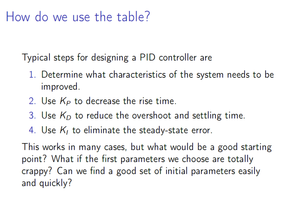#### How do we use the table?

Typical steps for designing a PID controller are

- 1. Determine what characteristics of the system needs to be improved.
- 2. Use  $K_P$  to decrease the rise time.
- 3. Use  $K<sub>D</sub>$  to reduce the overshoot and settling time.
- 4. Use  $K_i$  to eliminate the steady-state error.

This works in many cases, but what would be a good starting point? What if the first parameters we choose are totally crappy? Can we find a good set of initial parameters easily and quickly?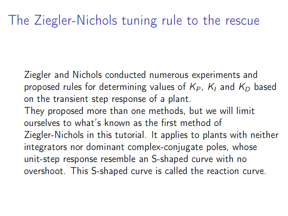#### The Ziegler-Nichols tuning rule to the rescue

Ziegler and Nichols conducted numerous experiments and proposed rules for determining values of  $K_P$ ,  $K_I$  and  $K_D$  based on the transient step response of a plant.

They proposed more than one methods, but we will limit ourselves to what's known as the first method of Ziegler-Nichols in this tutorial. It applies to plants with neither integrators nor dominant complex-conjugate poles, whose unit-step response resemble an S-shaped curve with no overshoot. This S-shaped curve is called the reaction curve.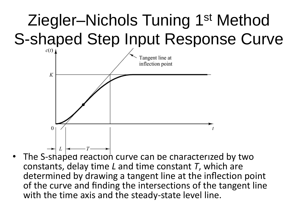## Ziegler–Nichols Tuning 1st Method S-shaped Step Input Response Curve



• The S-shaped reaction curve can be characterized by two constants, delay time *L* and time constant *T*, which are determined by drawing a tangent line at the inflection point of the curve and finding the intersections of the tangent line with the time axis and the steady-state level line.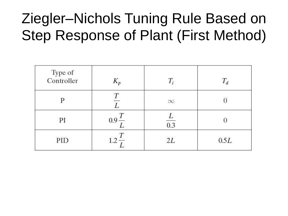### Ziegler–Nichols Tuning Rule Based on Step Response of Plant (First Method)

| Type of<br>Controller | $K_p$ |          | $T_d$  |
|-----------------------|-------|----------|--------|
|                       |       | $\infty$ |        |
| PI                    | 0.9   | 0.3      |        |
| PID                   |       | 2L       | $0.5L$ |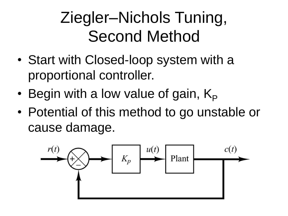## Ziegler–Nichols Tuning, Second Method

- Start with Closed-loop system with a proportional controller.
- Begin with a low value of gain,  $K_P$
- Potential of this method to go unstable or cause damage.

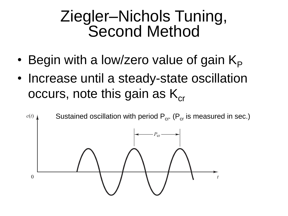#### Ziegler–Nichols Tuning, Second Method

- Begin with a low/zero value of gain  $K_{\rm P}$
- Increase until a steady-state oscillation occurs, note this gain as  $K_{cr}$

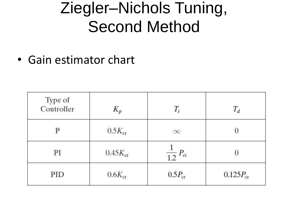### Ziegler–Nichols Tuning, Second Method

• Gain estimator chart

| Type of<br>Controller | $K_p$        | $T_i$                  | $T_d$         |
|-----------------------|--------------|------------------------|---------------|
| P                     | $0.5K_{cr}$  | $\infty$               |               |
| PI                    | $0.45K_{cr}$ | $\frac{1}{1.2} P_{cr}$ |               |
| PID                   | $0.6K_{cr}$  | $0.5P_{cr}$            | $0.125P_{cr}$ |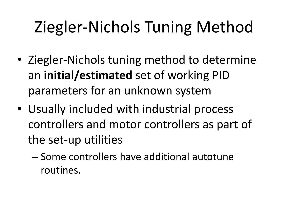# Ziegler-Nichols Tuning Method

- Ziegler-Nichols tuning method to determine an **initial/estimated** set of working PID parameters for an unknown system
- Usually included with industrial process controllers and motor controllers as part of the set-up utilities
	- Some controllers have additional autotune routines.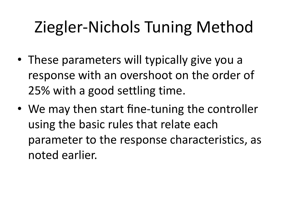# Ziegler-Nichols Tuning Method

- These parameters will typically give you a response with an overshoot on the order of 25% with a good settling time.
- We may then start fine-tuning the controller using the basic rules that relate each parameter to the response characteristics, as noted earlier.